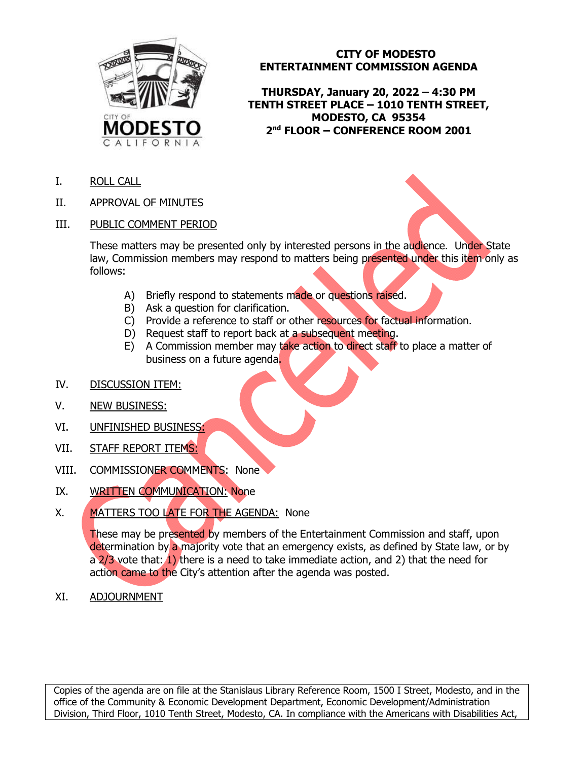

## **CITY OF MODESTO ENTERTAINMENT COMMISSION AGENDA**

**THURSDAY, January 20, 2022 – 4:30 PM TENTH STREET PLACE – 1010 TENTH STREET, MODESTO, CA 95354 2nd FLOOR – CONFERENCE ROOM 2001**

- I. ROLL CALL
- II. APPROVAL OF MINUTES
- III. PUBLIC COMMENT PERIOD

These matters may be presented only by interested persons in the audience. Under State law, Commission members may respond to matters being presented under this item only as follows:

- A) Briefly respond to statements made or questions raised.
- B) Ask a question for clarification.
- C) Provide a reference to staff or other resources for factual information.
- D) Request staff to report back at a subsequent meeting.
- E) A Commission member may take action to direct staff to place a matter of business on a future agenda.
- IV. DISCUSSION ITEM:
- V. NEW BUSINESS:
- VI. UNFINISHED BUSINESS:
- VII. STAFF REPORT ITEMS:
- VIII. COMMISSIONER COMMENTS: None
- IX. WRITTEN COMMUNICATION: None
- X. MATTERS TOO LATE FOR THE AGENDA: None

These may be presented by members of the Entertainment Commission and staff, upon determination by a majority vote that an emergency exists, as defined by State law, or by a  $2/3$  vote that:  $(1)$  there is a need to take immediate action, and 2) that the need for action came to the City's attention after the agenda was posted.

XI. ADJOURNMENT

Copies of the agenda are on file at the Stanislaus Library Reference Room, 1500 I Street, Modesto, and in the office of the Community & Economic Development Department, Economic Development/Administration Division, Third Floor, 1010 Tenth Street, Modesto, CA. In compliance with the Americans with Disabilities Act,